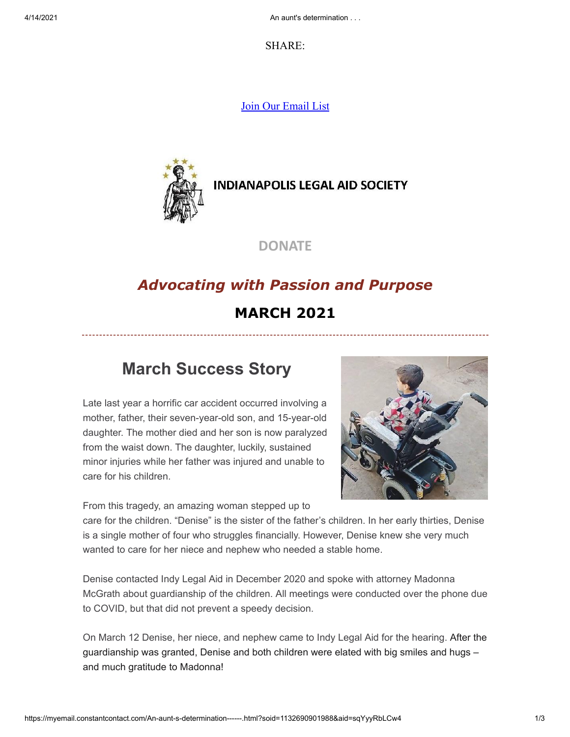4/14/2021 **An aunt's determination ...** 

SHARE:

[Join Our Email List](https://visitor.constantcontact.com/d.jsp?m=1132690901988&p=oi)



**INDIANAPOLIS LEGAL AID SOCIETY** 

**[DONATE](https://interland3.donorperfect.net/weblink/weblink.aspx?name=E5192&id=1)**

## *Advocating with Passion and Purpose* **MARCH 2021**

### **March Success Story**

Late last year a horrific car accident occurred involving a mother, father, their seven-year-old son, and 15-year-old daughter. The mother died and her son is now paralyzed from the waist down. The daughter, luckily, sustained minor injuries while her father was injured and unable to care for his children.



From this tragedy, an amazing woman stepped up to

care for the children. "Denise" is the sister of the father's children. In her early thirties, Denise is a single mother of four who struggles financially. However, Denise knew she very much wanted to care for her niece and nephew who needed a stable home.

Denise contacted Indy Legal Aid in December 2020 and spoke with attorney Madonna McGrath about guardianship of the children. All meetings were conducted over the phone due to COVID, but that did not prevent a speedy decision.

On March 12 Denise, her niece, and nephew came to Indy Legal Aid for the hearing. After the guardianship was granted, Denise and both children were elated with big smiles and hugs – and much gratitude to Madonna!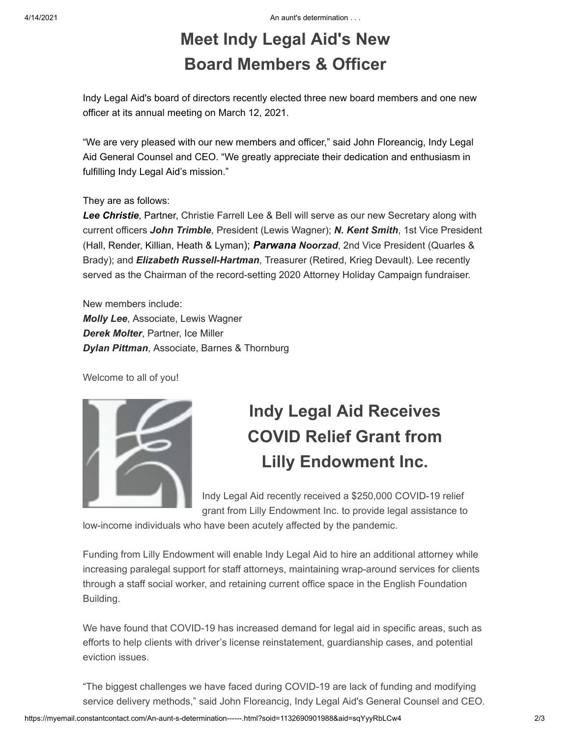# **Meet Indy Legal Aid's New Board Members & Officer**

Indy Legal Aid's board of directors recently elected three new board members and one new officer at its annual meeting on March 12, 2021.

"We are very pleased with our new members and officer," said John Floreancig, Indy Legal Aid General Counsel and CEO. "We greatly appreciate their dedication and enthusiasm in fulfilling Indy Legal Aid's mission."

#### They are as follows:

*Lee Christie*, Partner, Christie Farrell Lee & Bell will serve as our new Secretary along with current officers *John Trimble*, President (Lewis Wagner); *N. Kent Smith*, 1st Vice President (Hall, Render, Killian, Heath & Lyman); *Parwana Noorzad*, 2nd Vice President (Quarles & Brady); and *Elizabeth Russell-Hartman*, Treasurer (Retired, Krieg Devault). Lee recently served as the Chairman of the record-setting 2020 Attorney Holiday Campaign fundraiser.

New members include: *Molly Lee*, Associate, Lewis Wagner *Derek Molter*, Partner, Ice Miller *Dylan Pittman*, Associate, Barnes & Thornburg

Welcome to all of you!



# **Indy Legal Aid Receives COVID Relief Grant from Lilly Endowment Inc.**

Indy Legal Aid recently received a \$250,000 COVID-19 relief grant from Lilly Endowment Inc. to provide legal assistance to

low-income individuals who have been acutely affected by the pandemic.

Funding from Lilly Endowment will enable Indy Legal Aid to hire an additional attorney while increasing paralegal support for staff attorneys, maintaining wrap-around services for clients through a staff social worker, and retaining current office space in the English Foundation Building.

We have found that COVID-19 has increased demand for legal aid in specific areas, such as efforts to help clients with driver's license reinstatement, guardianship cases, and potential eviction issues.

"The biggest challenges we have faced during COVID-19 are lack of funding and modifying service delivery methods," said John Floreancig, Indy Legal Aid's General Counsel and CEO.